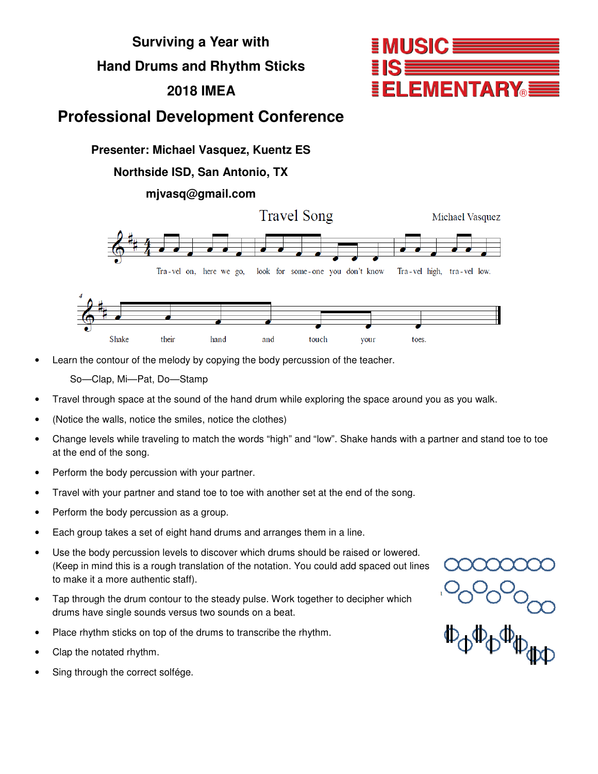

Learn the contour of the melody by copying the body percussion of the teacher.

So—Clap, Mi—Pat, Do—Stamp

- Travel through space at the sound of the hand drum while exploring the space around you as you walk.
- (Notice the walls, notice the smiles, notice the clothes)
- Change levels while traveling to match the words "high" and "low". Shake hands with a partner and stand toe to toe at the end of the song.
- Perform the body percussion with your partner.
- Travel with your partner and stand toe to toe with another set at the end of the song.
- Perform the body percussion as a group.
- Each group takes a set of eight hand drums and arranges them in a line.
- Use the body percussion levels to discover which drums should be raised or lowered. (Keep in mind this is a rough translation of the notation. You could add spaced out lines to make it a more authentic staff).
- Tap through the drum contour to the steady pulse. Work together to decipher which drums have single sounds versus two sounds on a beat.
- Place rhythm sticks on top of the drums to transcribe the rhythm.
- Clap the notated rhythm.
- Sing through the correct solfége.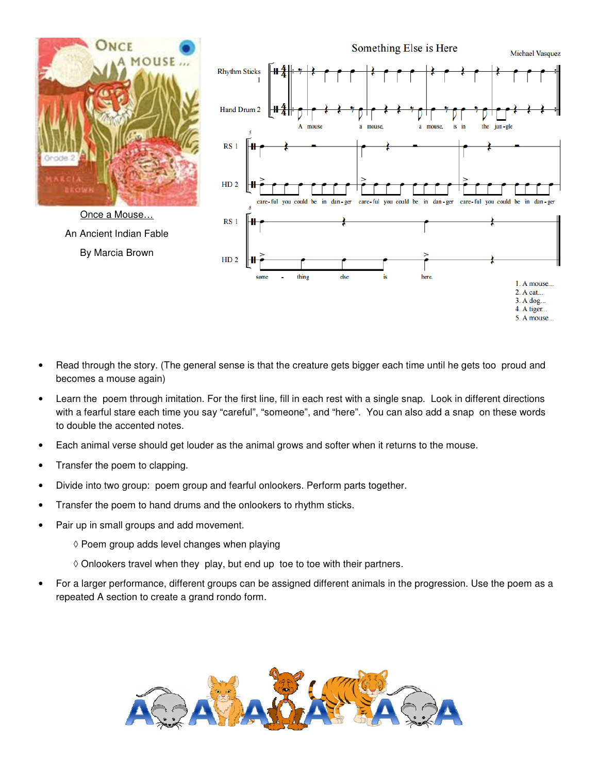

- Read through the story. (The general sense is that the creature gets bigger each time until he gets too proud and becomes a mouse again)
- Learn the poem through imitation. For the first line, fill in each rest with a single snap. Look in different directions with a fearful stare each time you say "careful", "someone", and "here". You can also add a snap on these words to double the accented notes.
- Each animal verse should get louder as the animal grows and softer when it returns to the mouse.
- Transfer the poem to clapping.
- Divide into two group: poem group and fearful onlookers. Perform parts together.
- Transfer the poem to hand drums and the onlookers to rhythm sticks.
- Pair up in small groups and add movement.
	- ◊ Poem group adds level changes when playing
	- ◊ Onlookers travel when they play, but end up toe to toe with their partners.
- For a larger performance, different groups can be assigned different animals in the progression. Use the poem as a repeated A section to create a grand rondo form.